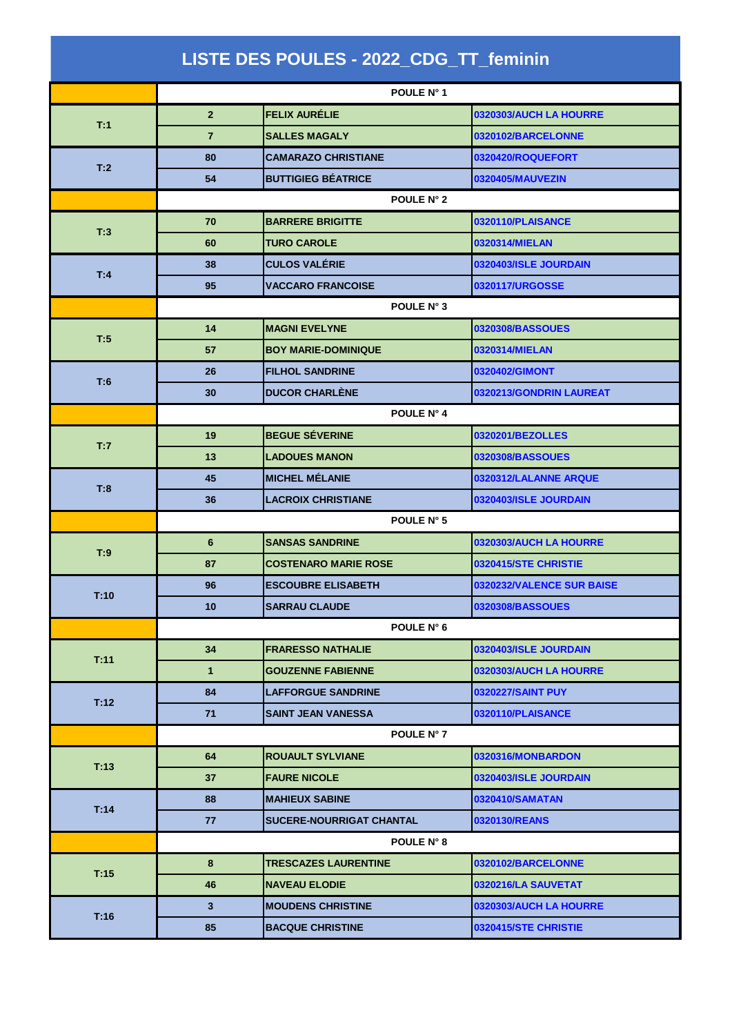| LISTE DES POULES - 2022_CDG_TT_feminin |                 |                             |                               |  |  |
|----------------------------------------|-----------------|-----------------------------|-------------------------------|--|--|
|                                        | POULE N° 1      |                             |                               |  |  |
| T:1                                    | $\overline{2}$  | <b>FELIX AURÉLIE</b>        | 0320303/AUCH LA HOURRE        |  |  |
|                                        | $\overline{7}$  | <b>SALLES MAGALY</b>        | 0320102/BARCELONNE            |  |  |
|                                        | 80              | <b>CAMARAZO CHRISTIANE</b>  | 0320420/ROQUEFORT             |  |  |
| T:2                                    | 54              | <b>BUTTIGIEG BÉATRICE</b>   | 0320405/MAUVEZIN              |  |  |
|                                        | POULE N° 2      |                             |                               |  |  |
|                                        | 70              | <b>BARRERE BRIGITTE</b>     | 0320110/PLAISANCE             |  |  |
| T:3                                    | 60              | <b>TURO CAROLE</b>          | 0320314/MIELAN                |  |  |
| T:4                                    | 38              | <b>CULOS VALÉRIE</b>        | 0320403/ISLE JOURDAIN         |  |  |
|                                        | 95              | <b>VACCARO FRANCOISE</b>    | 0320117/URGOSSE               |  |  |
|                                        |                 | POULE N° 3                  |                               |  |  |
| T:5                                    | 14              | <b>MAGNI EVELYNE</b>        | 0320308/BASSOUES              |  |  |
|                                        | 57              | <b>BOY MARIE-DOMINIQUE</b>  | 0320314/MIELAN                |  |  |
| T:6                                    | 26              | <b>FILHOL SANDRINE</b>      | 0320402/GIMONT                |  |  |
|                                        | 30              | <b>DUCOR CHARLÈNE</b>       | 0320213/GONDRIN LAUREAT       |  |  |
|                                        | POULE N° 4      |                             |                               |  |  |
| T:7                                    | 19              | <b>BEGUE SÉVERINE</b>       | 0320201/BEZOLLES              |  |  |
|                                        | 13              | <b>LADOUES MANON</b>        | 0320308/BASSOUES              |  |  |
| T:8                                    | 45              | <b>MICHEL MÉLANIE</b>       | 0320312/LALANNE ARQUE         |  |  |
|                                        | 36              | <b>LACROIX CHRISTIANE</b>   | 0320403/ISLE JOURDAIN         |  |  |
|                                        | POULE N° 5      |                             |                               |  |  |
| T:9                                    | $6\phantom{1}$  | <b>SANSAS SANDRINE</b>      | 0320303/AUCH LA HOURRE        |  |  |
|                                        | 87              | <b>COSTENARO MARIE ROSE</b> | 0320415/STE CHRISTIE          |  |  |
| T:10                                   | 96              | <b>ESCOUBRE ELISABETH</b>   | 0320232/VALENCE SUR BAISE     |  |  |
|                                        | 10 <sup>1</sup> | <b>SARRAU CLAUDE</b>        | 0320308/BASSOUES              |  |  |
|                                        | POULE N° 6      |                             |                               |  |  |
| T:11                                   | 34              | <b>FRARESSO NATHALIE</b>    | 0320403/ISLE JOURDAIN         |  |  |
|                                        | $\mathbf{1}$    | <b>GOUZENNE FABIENNE</b>    | 0320303/AUCH LA HOURRE        |  |  |
| T:12                                   | 84              | <b>LAFFORGUE SANDRINE</b>   | 0320227/SAINT PUY             |  |  |
|                                        | 71              | <b>SAINT JEAN VANESSA</b>   | 0320110/PLAISANCE             |  |  |
|                                        |                 | POULE N° 7                  |                               |  |  |
| T:13                                   | 64              | <b>ROUAULT SYLVIANE</b>     | 0320316/MONBARDON             |  |  |
|                                        | 37              | <b>FAURE NICOLE</b>         | 0320403/ISLE JOURDAIN         |  |  |
| T:14                                   | 88              | <b>MAHIEUX SABINE</b>       | 0320410/SAMATAN               |  |  |
|                                        | 77              | SUCERE-NOURRIGAT CHANTAL    | 0320130/REANS                 |  |  |
|                                        |                 | <b>POULE N° 8</b>           |                               |  |  |
| T:15                                   | 8               | <b>TRESCAZES LAURENTINE</b> | 0320102/BARCELONNE            |  |  |
|                                        | 46              | <b>NAVEAU ELODIE</b>        | 0320216/LA SAUVETAT           |  |  |
| T:16                                   | 3               | <b>MOUDENS CHRISTINE</b>    | <b>0320303/AUCH LA HOURRE</b> |  |  |
|                                        | 85              | <b>BACQUE CHRISTINE</b>     | <b>0320415/STE CHRISTIE</b>   |  |  |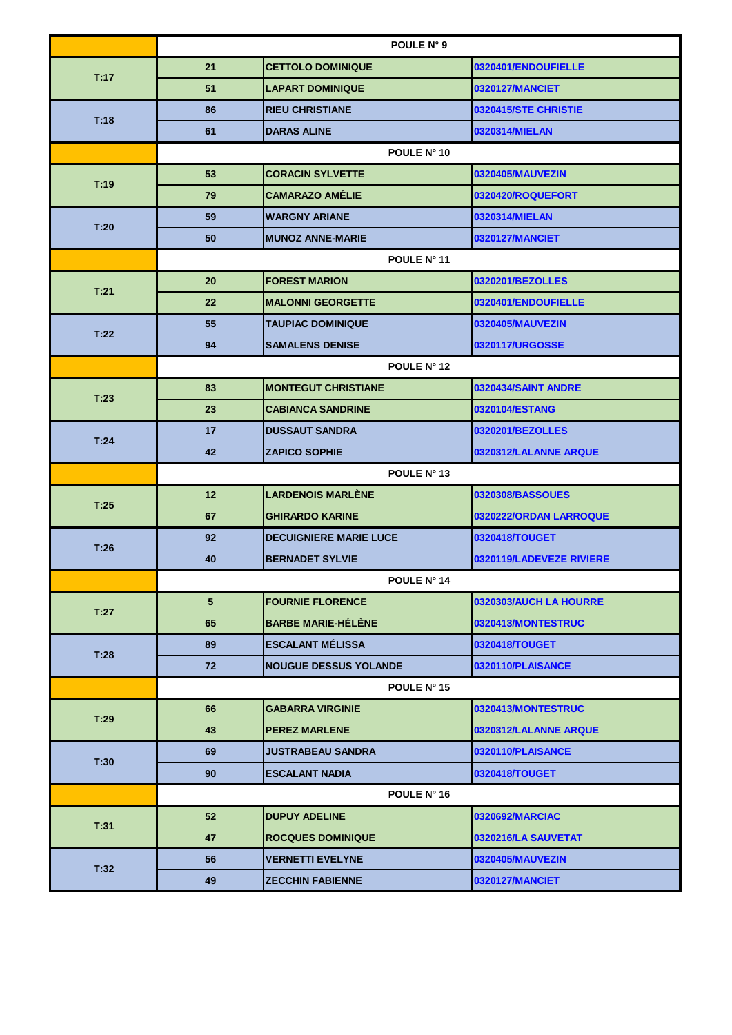|      | POULE N° 9        |                               |                          |  |  |
|------|-------------------|-------------------------------|--------------------------|--|--|
| T:17 | 21                | <b>CETTOLO DOMINIQUE</b>      | 0320401/ENDOUFIELLE      |  |  |
|      | 51                | <b>LAPART DOMINIQUE</b>       | 0320127/MANCIET          |  |  |
|      | 86                | <b>RIEU CHRISTIANE</b>        | 0320415/STE CHRISTIE     |  |  |
| T:18 | 61                | <b>DARAS ALINE</b>            | 0320314/MIELAN           |  |  |
|      |                   | POULE N° 10                   |                          |  |  |
|      | 53                | <b>CORACIN SYLVETTE</b>       | 0320405/MAUVEZIN         |  |  |
| T:19 | 79                | <b>CAMARAZO AMÉLIE</b>        | 0320420/ROQUEFORT        |  |  |
|      | 59                | <b>WARGNY ARIANE</b>          | 0320314/MIELAN           |  |  |
| T:20 | 50                | <b>MUNOZ ANNE-MARIE</b>       | 0320127/MANCIET          |  |  |
|      | POULE N° 11       |                               |                          |  |  |
|      | 20                | <b>FOREST MARION</b>          | 0320201/BEZOLLES         |  |  |
| T:21 | $22 \overline{ }$ | <b>MALONNI GEORGETTE</b>      | 0320401/ENDOUFIELLE      |  |  |
|      | 55                | <b>TAUPIAC DOMINIQUE</b>      | 0320405/MAUVEZIN         |  |  |
| T:22 | 94                | <b>SAMALENS DENISE</b>        | 0320117/URGOSSE          |  |  |
|      | POULE N° 12       |                               |                          |  |  |
|      | 83                | <b>MONTEGUT CHRISTIANE</b>    | 0320434/SAINT ANDRE      |  |  |
| T:23 | 23                | <b>CABIANCA SANDRINE</b>      | 0320104/ESTANG           |  |  |
|      | 17                | <b>DUSSAUT SANDRA</b>         | 0320201/BEZOLLES         |  |  |
| T:24 | 42                | <b>ZAPICO SOPHIE</b>          | 0320312/LALANNE ARQUE    |  |  |
|      | POULE N° 13       |                               |                          |  |  |
| T:25 | 12 <sup>2</sup>   | <b>LARDENOIS MARLÈNE</b>      | 0320308/BASSOUES         |  |  |
|      | 67                | <b>GHIRARDO KARINE</b>        | 0320222/ORDAN LARROQUE   |  |  |
| T:26 | 92                | <b>DECUIGNIERE MARIE LUCE</b> | 0320418/TOUGET           |  |  |
|      | 40                | <b>BERNADET SYLVIE</b>        | 0320119/LADEVEZE RIVIERE |  |  |
|      | POULE N° 14       |                               |                          |  |  |
| T:27 | $5^{\circ}$       | <b>FOURNIE FLORENCE</b>       | 0320303/AUCH LA HOURRE   |  |  |
|      | 65                | <b>BARBE MARIE-HELENE</b>     | 0320413/MONTESTRUC       |  |  |
| T:28 | 89                | <b>ESCALANT MÉLISSA</b>       | 0320418/TOUGET           |  |  |
|      | 72                | <b>NOUGUE DESSUS YOLANDE</b>  | 0320110/PLAISANCE        |  |  |
|      | POULE N° 15       |                               |                          |  |  |
| T:29 | 66                | <b>GABARRA VIRGINIE</b>       | 0320413/MONTESTRUC       |  |  |
|      | 43                | <b>PEREZ MARLENE</b>          | 0320312/LALANNE ARQUE    |  |  |
| T:30 | 69                | <b>JUSTRABEAU SANDRA</b>      | 0320110/PLAISANCE        |  |  |
|      | 90                | <b>ESCALANT NADIA</b>         | 0320418/TOUGET           |  |  |
|      | POULE N° 16       |                               |                          |  |  |
| T:31 | 52                | <b>DUPUY ADELINE</b>          | 0320692/MARCIAC          |  |  |
|      | 47                | <b>ROCQUES DOMINIQUE</b>      | 0320216/LA SAUVETAT      |  |  |
| T:32 | 56                | <b>VERNETTI EVELYNE</b>       | 0320405/MAUVEZIN         |  |  |
|      | 49                | <b>ZECCHIN FABIENNE</b>       | 0320127/MANCIET          |  |  |